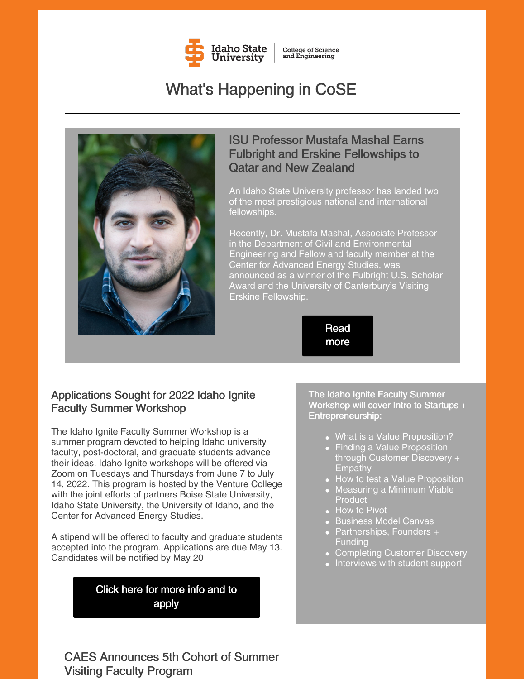

**College of Science** and Engineering

# What's Happening in CoSE



#### ISU Professor Mustafa Mashal Earns Fulbright and Erskine Fellowships to Qatar and New Zealand

An Idaho State University professor has landed two of the most prestigious national and international fellowships.

Recently, Dr. Mustafa Mashal, Associate Professor in the Department of Civil and Environmental Engineering and Fellow and faculty member at the Center for Advanced Energy Studies, was announced as a winner of the Fulbright U.S. Scholar Award and the University of Canterbury's Visiting Erskine Fellowship.

> [Read](https://www.isu.edu/news/2022-spring/isu-professor-mustafa-mashal-earns-fulbright-and-erskine-fellowships-to-qatar-and-new-zealand.html) more

#### Applications Sought for 2022 Idaho Ignite Faculty Summer Workshop

The Idaho Ignite Faculty Summer Workshop is a summer program devoted to helping Idaho university faculty, post-doctoral, and graduate students advance their ideas. Idaho Ignite workshops will be offered via Zoom on Tuesdays and Thursdays from June 7 to July 14, 2022. This program is hosted by the Venture College with the joint efforts of partners Boise State University, Idaho State University, the University of Idaho, and the Center for Advanced Energy Studies.

A stipend will be offered to faculty and graduate students accepted into the program. Applications are due May 13. Candidates will be notified by May 20

> Click here for [more](https://www.boisestate.edu/news/2022/04/25/apply-for-2022-idaho-ignite-faculty-summer-workshop/) info and to apply

The Idaho Ignite Faculty Summer Workshop will cover Intro to Startups + Entrepreneurship:

- What is a Value Proposition?
- Finding a Value Proposition through Customer Discovery + **Empathy**
- How to test a Value Proposition
- Measuring a Minimum Viable **Product**
- How to Pivot
- Business Model Canvas
- Partnerships, Founders + **Funding**
- Completing Customer Discovery
- Interviews with student support

CAES Announces 5th Cohort of Summer Visiting Faculty Program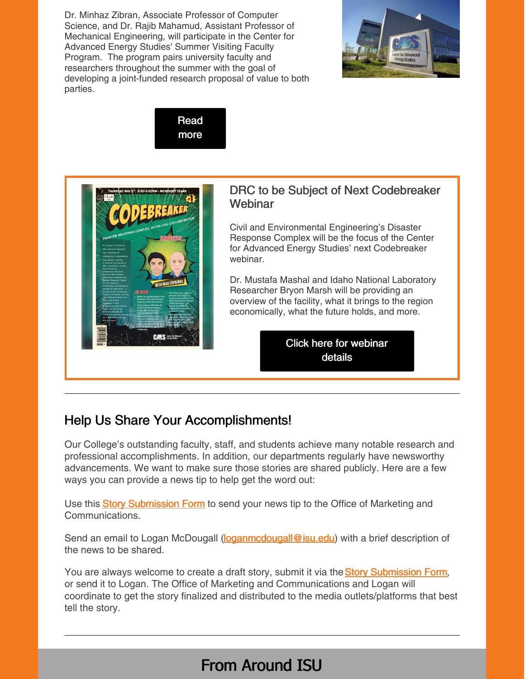Dr. Minhaz Zibran, Associate Professor of Computer Science, and Dr. Rajib Mahamud, Assistant Professor of Mechanical Engineering, will participate in the Center for Advanced Energy Studies' Summer Visiting Faculty Program. The program pairs university faculty and researchers throughout the summer with the goal of developing a joint-funded research proposal of value to both parties.







#### DRC to be Subject of Next Codebreaker Webinar

Civil and Environmental Engineering's Disaster Response Complex will be the focus of the Center for Advanced Energy Studies' next Codebreaker webinar.

Dr. Mustafa Mashal and Idaho National Laboratory Researcher Bryon Marsh will be providing an overview of the facility, what it brings to the region economically, what the future holds, and more.

> Click here for [webinar](https://caes.org/event/caes-codebreaker-disaster-response-complex-at-idaho-state-university/) details

### Help Us Share Your Accomplishments!

Our College's outstanding faculty, staff, and students achieve many notable research and professional accomplishments. In addition, our departments regularly have newsworthy advancements. We want to make sure those stories are shared publicly. Here are a few ways you can provide a news tip to help get the word out:

U[s](https://www.isu.edu/news/story-form/)e this **Story [Submission](https://www.isu.edu/news/story-form/) Form** to send your news tip to the Office of Marketing and Communications.

Send an email to Logan McDougall [\(loganmcdougall@isu.edu](mailto:loganmcdougall@isu.edu)) with a brief description of the news to be shared.

You ar[e](https://www.isu.edu/news/story-form/) always welcome to create a draft story, submit it via the Story [Submission](https://www.isu.edu/news/story-form/) Form, or send it to Logan. The Office of Marketing and Communications and Logan will coordinate to get the story finalized and distributed to the media outlets/platforms that best tell the story.

## From Around ISU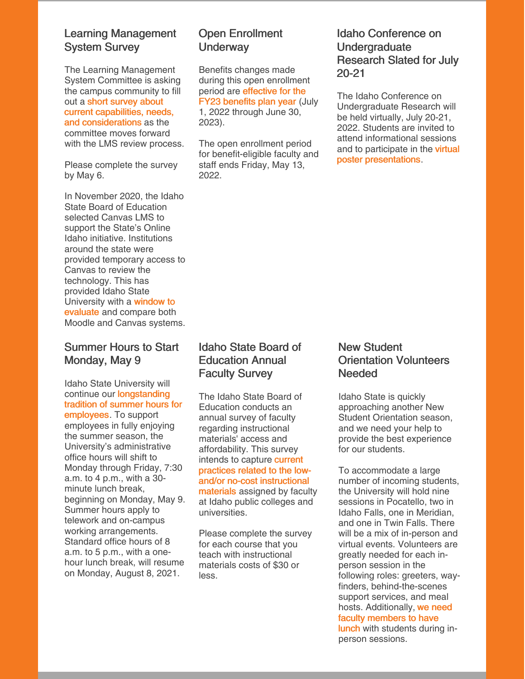#### Learning Management System Survey

The Learning Management System Committee is asking the campus community to fill out a short survey about current capabilities, needs, and [considerations](https://docs.google.com/forms/d/e/1FAIpQLScp7CxqrtMCp474Z9toHKJsPbq5ODRdsDEhyLqj0ceuDPB0BQ/viewform) as the committee moves forward with the LMS review process.

Please complete the survey by May 6.

In November 2020, the Idaho State Board of Education selected Canvas LMS to support the State's Online Idaho initiative. Institutions around the state were provided temporary access to Canvas to review the technology. This has provided Idaho State [University](https://myemail.constantcontact.com/Learning-Management-System-Survey.html?soid=1127399030149&aid=vjPfCRsXHq4) with a window to evaluate and compare both Moodle and Canvas systems.

#### Summer Hours to Start Monday, May 9

Idaho State University will continue our **[longstanding](https://myemail.constantcontact.com/Summer-Hours-to-Start-Monday--May-9.html?soid=1127399030149&aid=taa__0KL_dw)** tradition of summer hours for employees. To support employees in fully enjoying the summer season, the University's administrative office hours will shift to Monday through Friday, 7:30 a.m. to 4 p.m., with a 30 minute lunch break, beginning on Monday, May 9. Summer hours apply to telework and on-campus working arrangements. Standard office hours of 8 a.m. to 5 p.m., with a onehour lunch break, will resume on Monday, August 8, 2021.

#### Open Enrollment **Underway**

Benefits changes made during this open enrollment period are [effective](https://myemail.constantcontact.com/Open-Enrollment-Begins-Today.html?soid=1127399030149&aid=kfaaN8n1VxY) for the FY23 benefits plan year (July 1, 2022 through June 30, 2023).

The open enrollment period for benefit-eligible faculty and staff ends Friday, May 13, 2022.

#### Idaho Conference on **Undergraduate** Research Slated for July 20-21

The Idaho Conference on Undergraduate Research will be held virtually, July 20-21, 2022. Students are invited to attend informational sessions and to participate in the **virtual** poster [presentations.](https://www.boisestate.edu/icur/)

#### Idaho State Board of Education Annual Faculty Survey

The Idaho State Board of Education conducts an annual survey of faculty regarding instructional materials' access and affordability. This survey intends to capture current practices related to the lowand/or no-cost [instructional](https://myemail.constantcontact.com/Idaho-State-Board-of-Education-Annual-Faculty-Survey.html?soid=1127399030149&aid=nHZLFp7pa5M) materials assigned by faculty at Idaho public colleges and universities.

Please complete the survey for each course that you teach with instructional materials costs of \$30 or less.

#### New Student Orientation Volunteers Needed

Idaho State is quickly approaching another New Student Orientation season, and we need your help to provide the best experience for our students.

To accommodate a large number of incoming students, the University will hold nine sessions in Pocatello, two in Idaho Falls, one in Meridian, and one in Twin Falls. There will be a mix of in-person and virtual events. Volunteers are greatly needed for each inperson session in the following roles: greeters, wayfinders, behind-the-scenes support services, and meal hosts. [Additionally,](https://docs.google.com/forms/d/e/1FAIpQLSeryoPuwTyyooGoAivhaVV4whfWJ_qzK0fABZCzoesSrSJKKQ/viewform) we need faculty members to have lunch with students during inperson sessions.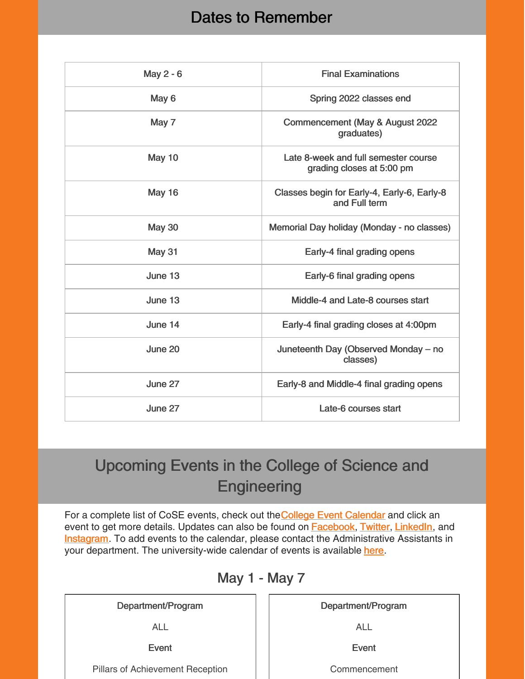### Dates to Remember

| May 2 - 6     | <b>Final Examinations</b>                                         |
|---------------|-------------------------------------------------------------------|
| May 6         | Spring 2022 classes end                                           |
| May 7         | Commencement (May & August 2022<br>graduates)                     |
| May 10        | Late 8-week and full semester course<br>grading closes at 5:00 pm |
| <b>May 16</b> | Classes begin for Early-4, Early-6, Early-8<br>and Full term      |
| <b>May 30</b> | Memorial Day holiday (Monday - no classes)                        |
| <b>May 31</b> | Early-4 final grading opens                                       |
| June 13       | Early-6 final grading opens                                       |
| June 13       | Middle-4 and Late-8 courses start                                 |
| June 14       | Early-4 final grading closes at 4:00pm                            |
| June 20       | Juneteenth Day (Observed Monday - no<br>classes)                  |
| June 27       | Early-8 and Middle-4 final grading opens                          |
| June 27       | Late-6 courses start                                              |

# Upcoming Events in the College of Science and **Engineering**

For a compl[e](https://isu.edu/cse/calendar/)te list of CoSE events, check out the College Event [Calendar](https://isu.edu/cse/calendar/) and click an event to get more details. Updates can also be found on **[Facebook](https://www.facebook.com/IdahoStateUCoSE)**, [Twitter](https://twitter.com/IdahoStateUCoSE), [LinkedIn](https://www.linkedin.com/company/idaho-state-university-college-of-science-and-engineering), and **[Instagram](https://www.instagram.com/idahostateucose/)**. To add events to the calendar, please contact the Administrative Assistants in your department. The university-wide calendar of events is available [here](https://www.isu.edu/calendar/).

### May 1 - May 7

Department/Program

ALL

Event

Pillars of Achievement Reception

Department/Program

ALL

Event

Commencement